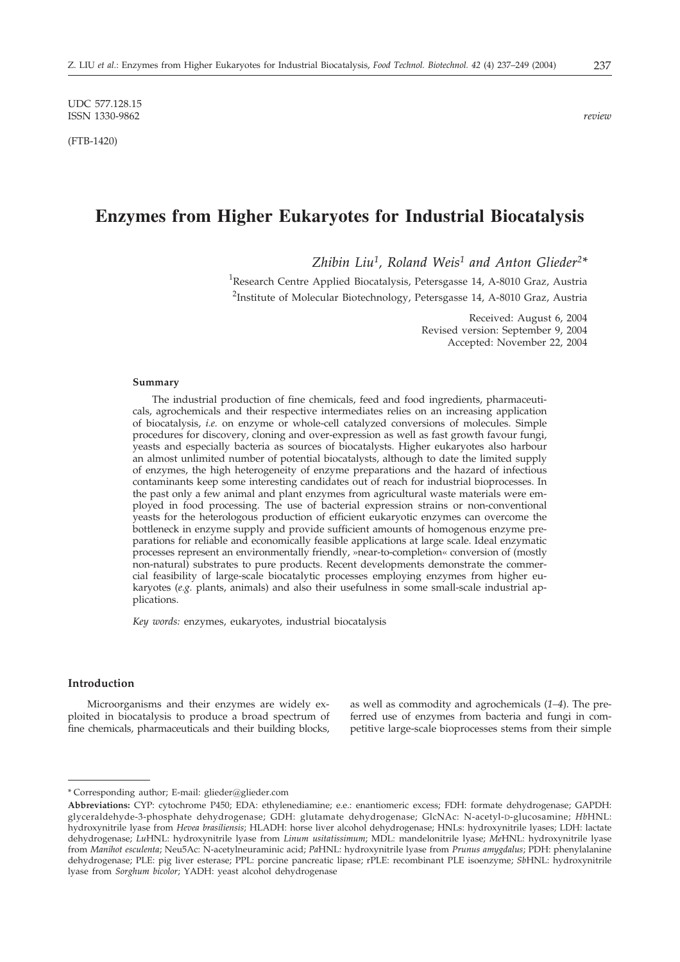UDC 577.128.15 ISSN 1330-9862 *review*

(FTB-1420)

# **Enzymes from Higher Eukaryotes for Industrial Biocatalysis**

*Zhibin Liu1, Roland Weis1 and Anton Glieder2\**

<sup>1</sup>Research Centre Applied Biocatalysis, Petersgasse 14, A-8010 Graz, Austria <sup>2</sup>Institute of Molecular Biotechnology, Petersgasse 14, A-8010 Graz, Austria

> Received: August 6, 2004 Revised version: September 9, 2004 Accepted: November 22, 2004

# **Summary**

The industrial production of fine chemicals, feed and food ingredients, pharmaceuticals, agrochemicals and their respective intermediates relies on an increasing application of biocatalysis, *i.e.* on enzyme or whole-cell catalyzed conversions of molecules. Simple procedures for discovery, cloning and over-expression as well as fast growth favour fungi, yeasts and especially bacteria as sources of biocatalysts. Higher eukaryotes also harbour an almost unlimited number of potential biocatalysts, although to date the limited supply of enzymes, the high heterogeneity of enzyme preparations and the hazard of infectious contaminants keep some interesting candidates out of reach for industrial bioprocesses. In the past only a few animal and plant enzymes from agricultural waste materials were employed in food processing. The use of bacterial expression strains or non-conventional yeasts for the heterologous production of efficient eukaryotic enzymes can overcome the bottleneck in enzyme supply and provide sufficient amounts of homogenous enzyme preparations for reliable and economically feasible applications at large scale. Ideal enzymatic processes represent an environmentally friendly, »near-to-completion« conversion of (mostly non-natural) substrates to pure products. Recent developments demonstrate the commercial feasibility of large-scale biocatalytic processes employing enzymes from higher eukaryotes (*e.g.* plants, animals) and also their usefulness in some small-scale industrial applications.

*Key words:* enzymes, eukaryotes, industrial biocatalysis

# **Introduction**

Microorganisms and their enzymes are widely exploited in biocatalysis to produce a broad spectrum of fine chemicals, pharmaceuticals and their building blocks, as well as commodity and agrochemicals (*1–4*). The preferred use of enzymes from bacteria and fungi in competitive large-scale bioprocesses stems from their simple

<sup>\*</sup> Corresponding author; E-mail: glieder@glieder.com

**Abbreviations:** CYP: cytochrome P450; EDA: ethylenediamine; e.e.: enantiomeric excess; FDH: formate dehydrogenase; GAPDH: glyceraldehyde-3-phosphate dehydrogenase; GDH: glutamate dehydrogenase; GlcNAc: N-acetyl-D-glucosamine; *Hb*HNL: hydroxynitrile lyase from *Hevea brasiliensis*; HLADH: horse liver alcohol dehydrogenase; HNLs: hydroxynitrile lyases; LDH: lactate dehydrogenase; *Lu*HNL: hydroxynitrile lyase from *Linum usitatissimum*; MDL: mandelonitrile lyase; *Me*HNL: hydroxynitrile lyase from *Manihot esculenta*; Neu5Ac: N-acetylneuraminic acid; *Pa*HNL: hydroxynitrile lyase from *Prunus amygdalus*; PDH: phenylalanine dehydrogenase; PLE: pig liver esterase; PPL: porcine pancreatic lipase; rPLE: recombinant PLE isoenzyme; *Sb*HNL: hydroxynitrile lyase from *Sorghum bicolor*; YADH: yeast alcohol dehydrogenase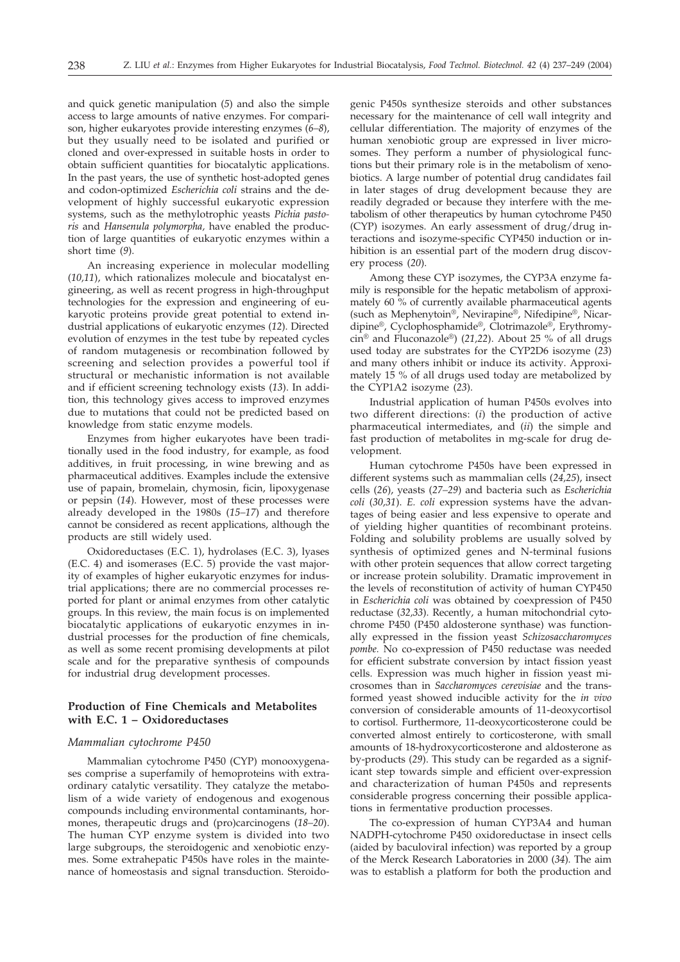and quick genetic manipulation (*5*) and also the simple access to large amounts of native enzymes. For comparison, higher eukaryotes provide interesting enzymes (*6–8*), but they usually need to be isolated and purified or cloned and over-expressed in suitable hosts in order to obtain sufficient quantities for biocatalytic applications. In the past years, the use of synthetic host-adopted genes and codon-optimized *Escherichia coli* strains and the development of highly successful eukaryotic expression systems, such as the methylotrophic yeasts *Pichia pastoris* and *Hansenula polymorpha,* have enabled the production of large quantities of eukaryotic enzymes within a short time (*9*).

An increasing experience in molecular modelling (*10,11*), which rationalizes molecule and biocatalyst engineering, as well as recent progress in high-throughput technologies for the expression and engineering of eukaryotic proteins provide great potential to extend industrial applications of eukaryotic enzymes (*12*). Directed evolution of enzymes in the test tube by repeated cycles of random mutagenesis or recombination followed by screening and selection provides a powerful tool if structural or mechanistic information is not available and if efficient screening technology exists (*13*). In addition, this technology gives access to improved enzymes due to mutations that could not be predicted based on knowledge from static enzyme models.

Enzymes from higher eukaryotes have been traditionally used in the food industry, for example, as food additives, in fruit processing, in wine brewing and as pharmaceutical additives. Examples include the extensive use of papain, bromelain, chymosin, ficin, lipoxygenase or pepsin (*14*). However, most of these processes were already developed in the 1980s (*15–17*) and therefore cannot be considered as recent applications, although the products are still widely used.

Oxidoreductases (E.C. 1), hydrolases (E.C. 3), lyases (E.C. 4) and isomerases (E.C. 5) provide the vast majority of examples of higher eukaryotic enzymes for industrial applications; there are no commercial processes reported for plant or animal enzymes from other catalytic groups. In this review, the main focus is on implemented biocatalytic applications of eukaryotic enzymes in industrial processes for the production of fine chemicals, as well as some recent promising developments at pilot scale and for the preparative synthesis of compounds for industrial drug development processes.

# **Production of Fine Chemicals and Metabolites with E.C. 1 – Oxidoreductases**

# *Mammalian cytochrome P450*

Mammalian cytochrome P450 (CYP) monooxygenases comprise a superfamily of hemoproteins with extraordinary catalytic versatility. They catalyze the metabolism of a wide variety of endogenous and exogenous compounds including environmental contaminants, hormones, therapeutic drugs and (pro)carcinogens (*18–20*). The human CYP enzyme system is divided into two large subgroups, the steroidogenic and xenobiotic enzymes. Some extrahepatic P450s have roles in the maintenance of homeostasis and signal transduction. Steroidogenic P450s synthesize steroids and other substances necessary for the maintenance of cell wall integrity and cellular differentiation. The majority of enzymes of the human xenobiotic group are expressed in liver microsomes. They perform a number of physiological functions but their primary role is in the metabolism of xenobiotics. A large number of potential drug candidates fail in later stages of drug development because they are readily degraded or because they interfere with the metabolism of other therapeutics by human cytochrome P450 (CYP) isozymes. An early assessment of drug/drug interactions and isozyme-specific CYP450 induction or inhibition is an essential part of the modern drug discovery process (*20*).

Among these CYP isozymes, the CYP3A enzyme family is responsible for the hepatic metabolism of approximately 60 % of currently available pharmaceutical agents (such as Mephenytoin®, Nevirapine®, Nifedipine®, Nicardipine®, Cyclophosphamide®, Clotrimazole®, Erythromycin® and Fluconazole®) (*21,22*). About 25 % of all drugs used today are substrates for the CYP2D6 isozyme (*23*) and many others inhibit or induce its activity. Approximately 15 % of all drugs used today are metabolized by the CYP1A2 isozyme (*23*).

Industrial application of human P450s evolves into two different directions: (*i*) the production of active pharmaceutical intermediates, and (*ii*) the simple and fast production of metabolites in mg-scale for drug development.

Human cytochrome P450s have been expressed in different systems such as mammalian cells (*24,25*), insect cells (*26*), yeasts (*27–29*) and bacteria such as *Escherichia coli* (*30,31*). *E. coli* expression systems have the advantages of being easier and less expensive to operate and of yielding higher quantities of recombinant proteins. Folding and solubility problems are usually solved by synthesis of optimized genes and N-terminal fusions with other protein sequences that allow correct targeting or increase protein solubility. Dramatic improvement in the levels of reconstitution of activity of human CYP450 in *Escherichia coli* was obtained by coexpression of P450 reductase (*32,33*). Recently, a human mitochondrial cytochrome P450 (P450 aldosterone synthase) was functionally expressed in the fission yeast *Schizosaccharomyces pombe.* No co-expression of P450 reductase was needed for efficient substrate conversion by intact fission yeast cells. Expression was much higher in fission yeast microsomes than in *Saccharomyces cerevisiae* and the transformed yeast showed inducible activity for the *in vivo* conversion of considerable amounts of 11-deoxycortisol to cortisol. Furthermore, 11-deoxycorticosterone could be converted almost entirely to corticosterone, with small amounts of 18-hydroxycorticosterone and aldosterone as by-products (*29*). This study can be regarded as a significant step towards simple and efficient over-expression and characterization of human P450s and represents considerable progress concerning their possible applications in fermentative production processes.

The co-expression of human CYP3A4 and human NADPH-cytochrome P450 oxidoreductase in insect cells (aided by baculoviral infection) was reported by a group of the Merck Research Laboratories in 2000 (*34*). The aim was to establish a platform for both the production and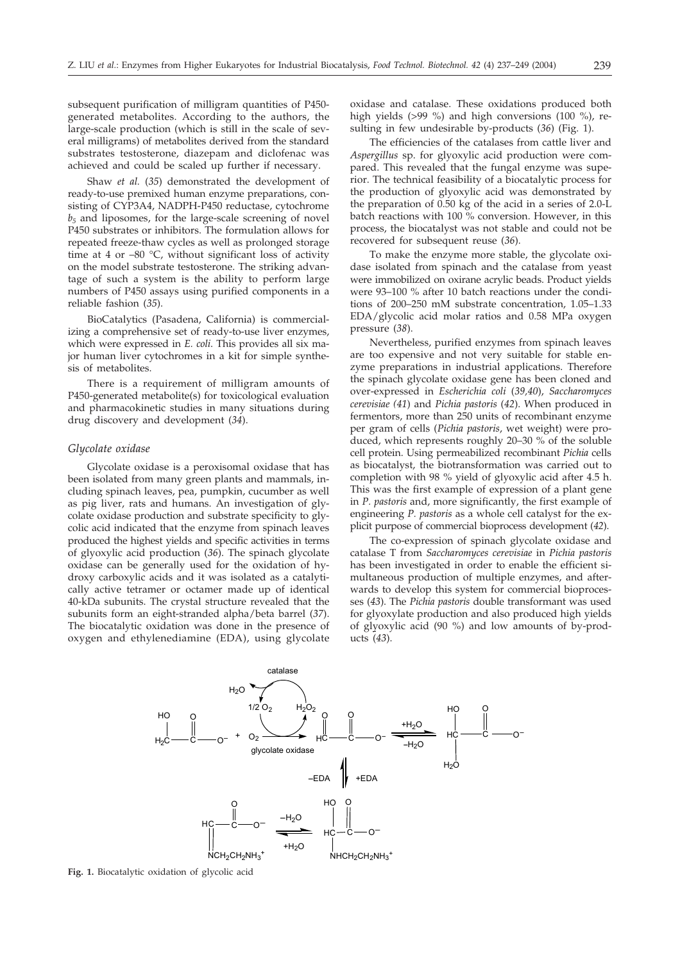subsequent purification of milligram quantities of P450 generated metabolites. According to the authors, the large-scale production (which is still in the scale of several milligrams) of metabolites derived from the standard substrates testosterone, diazepam and diclofenac was achieved and could be scaled up further if necessary.

Shaw *et al.* (*35*) demonstrated the development of ready-to-use premixed human enzyme preparations, consisting of CYP3A4, NADPH-P450 reductase, cytochrome *b5* and liposomes, for the large-scale screening of novel P450 substrates or inhibitors. The formulation allows for repeated freeze-thaw cycles as well as prolonged storage time at 4 or –80 °C, without significant loss of activity on the model substrate testosterone. The striking advantage of such a system is the ability to perform large numbers of P450 assays using purified components in a reliable fashion (*35*).

BioCatalytics (Pasadena, California) is commercializing a comprehensive set of ready-to-use liver enzymes, which were expressed in *E. coli*. This provides all six major human liver cytochromes in a kit for simple synthesis of metabolites.

There is a requirement of milligram amounts of P450-generated metabolite(s) for toxicological evaluation and pharmacokinetic studies in many situations during drug discovery and development (*34*).

#### *Glycolate oxidase*

Glycolate oxidase is a peroxisomal oxidase that has been isolated from many green plants and mammals, including spinach leaves, pea, pumpkin, cucumber as well as pig liver, rats and humans. An investigation of glycolate oxidase production and substrate specificity to glycolic acid indicated that the enzyme from spinach leaves produced the highest yields and specific activities in terms of glyoxylic acid production (*36*). The spinach glycolate oxidase can be generally used for the oxidation of hydroxy carboxylic acids and it was isolated as a catalytically active tetramer or octamer made up of identical 40-kDa subunits. The crystal structure revealed that the subunits form an eight-stranded alpha/beta barrel (*37*). The biocatalytic oxidation was done in the presence of oxygen and ethylenediamine (EDA), using glycolate

oxidase and catalase. These oxidations produced both high yields (>99 %) and high conversions (100 %), resulting in few undesirable by-products (*36*) (Fig. 1).

The efficiencies of the catalases from cattle liver and *Aspergillus* sp. for glyoxylic acid production were compared. This revealed that the fungal enzyme was superior. The technical feasibility of a biocatalytic process for the production of glyoxylic acid was demonstrated by the preparation of 0.50 kg of the acid in a series of 2.0-L batch reactions with 100 % conversion. However, in this process, the biocatalyst was not stable and could not be recovered for subsequent reuse (*36*).

To make the enzyme more stable, the glycolate oxidase isolated from spinach and the catalase from yeast were immobilized on oxirane acrylic beads. Product yields were 93–100 % after 10 batch reactions under the conditions of 200–250 mM substrate concentration, 1.05–1.33 EDA/glycolic acid molar ratios and 0.58 MPa oxygen pressure (*38*).

Nevertheless, purified enzymes from spinach leaves are too expensive and not very suitable for stable enzyme preparations in industrial applications. Therefore the spinach glycolate oxidase gene has been cloned and over-expressed in *Escherichia coli* (*39,40*), *Saccharomyces cerevisiae (41*) and *Pichia pastoris* (*42*). When produced in fermentors, more than 250 units of recombinant enzyme per gram of cells (*Pichia pastoris*, wet weight) were produced, which represents roughly 20–30 % of the soluble cell protein. Using permeabilized recombinant *Pichia* cells as biocatalyst, the biotransformation was carried out to completion with 98 % yield of glyoxylic acid after 4.5 h. This was the first example of expression of a plant gene in *P. pastoris* and, more significantly, the first example of engineering *P. pastoris* as a whole cell catalyst for the explicit purpose of commercial bioprocess development (*42*).

The co-expression of spinach glycolate oxidase and catalase T from *Saccharomyces cerevisiae* in *Pichia pastoris* has been investigated in order to enable the efficient simultaneous production of multiple enzymes, and afterwards to develop this system for commercial bioprocesses (*43*). The *Pichia pastoris* double transformant was used for glyoxylate production and also produced high yields of glyoxylic acid (90 %) and low amounts of by-products (*43*).



**Fig. 1.** Biocatalytic oxidation of glycolic acid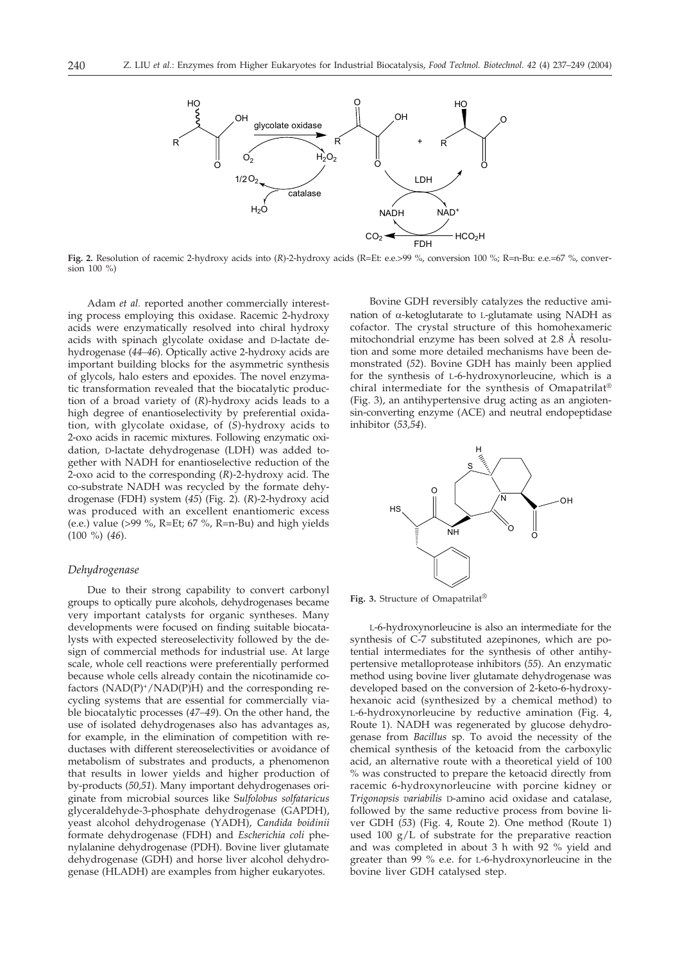

**Fig. 2.** Resolution of racemic 2-hydroxy acids into (*R*)-2-hydroxy acids (R=Et: e.e.>99 %, conversion 100 %; R=n-Bu: e.e.=67 %, conversion 100 %)

Adam *et al.* reported another commercially interesting process employing this oxidase. Racemic 2-hydroxy acids were enzymatically resolved into chiral hydroxy acids with spinach glycolate oxidase and D-lactate dehydrogenase (*44–46*). Optically active 2-hydroxy acids are important building blocks for the asymmetric synthesis of glycols, halo esters and epoxides. The novel enzymatic transformation revealed that the biocatalytic production of a broad variety of (*R*)-hydroxy acids leads to a high degree of enantioselectivity by preferential oxidation, with glycolate oxidase, of (*S*)-hydroxy acids to 2-oxo acids in racemic mixtures. Following enzymatic oxidation, D-lactate dehydrogenase (LDH) was added together with NADH for enantioselective reduction of the 2-oxo acid to the corresponding (*R*)-2-hydroxy acid. The co-substrate NADH was recycled by the formate dehydrogenase (FDH) system (*45*) (Fig. 2). (*R*)-2-hydroxy acid was produced with an excellent enantiomeric excess (e.e.) value (>99 %, R=Et; 67 %, R=n-Bu) and high yields (100 %) (*46*).

#### *Dehydrogenase*

Due to their strong capability to convert carbonyl groups to optically pure alcohols, dehydrogenases became very important catalysts for organic syntheses. Many developments were focused on finding suitable biocatalysts with expected stereoselectivity followed by the design of commercial methods for industrial use. At large scale, whole cell reactions were preferentially performed because whole cells already contain the nicotinamide cofactors  $(NAD(P)^+/NAD(P)H)$  and the corresponding recycling systems that are essential for commercially viable biocatalytic processes (*47–49*). On the other hand, the use of isolated dehydrogenases also has advantages as, for example, in the elimination of competition with reductases with different stereoselectivities or avoidance of metabolism of substrates and products, a phenomenon that results in lower yields and higher production of by-products (*50,51*). Many important dehydrogenases originate from microbial sources like S*ulfolobus solfataricus* glyceraldehyde-3-phosphate dehydrogenase (GAPDH), yeast alcohol dehydrogenase (YADH), *Candida boidinii* formate dehydrogenase (FDH) and *Escherichia coli* phenylalanine dehydrogenase (PDH). Bovine liver glutamate dehydrogenase (GDH) and horse liver alcohol dehydrogenase (HLADH) are examples from higher eukaryotes.

Bovine GDH reversibly catalyzes the reductive amination of  $\alpha$ -ketoglutarate to L-glutamate using NADH as cofactor. The crystal structure of this homohexameric mitochondrial enzyme has been solved at 2.8 Å resolution and some more detailed mechanisms have been demonstrated (*52*). Bovine GDH has mainly been applied for the synthesis of L-6-hydroxynorleucine, which is a chiral intermediate for the synthesis of Omapatrilat® (Fig. 3), an antihypertensive drug acting as an angiotensin-converting enzyme (ACE) and neutral endopeptidase inhibitor (*53,54*).



**Fig. 3.** Structure of Omapatrilat®

L-6-hydroxynorleucine is also an intermediate for the synthesis of C-7 substituted azepinones, which are potential intermediates for the synthesis of other antihypertensive metalloprotease inhibitors (*55*). An enzymatic method using bovine liver glutamate dehydrogenase was developed based on the conversion of 2-keto-6-hydroxyhexanoic acid (synthesized by a chemical method) to L-6-hydroxynorleucine by reductive amination (Fig. 4, Route 1). NADH was regenerated by glucose dehydrogenase from *Bacillus* sp*.* To avoid the necessity of the chemical synthesis of the ketoacid from the carboxylic acid, an alternative route with a theoretical yield of 100 % was constructed to prepare the ketoacid directly from racemic 6-hydroxynorleucine with porcine kidney or *Trigonopsis variabilis* D-amino acid oxidase and catalase, followed by the same reductive process from bovine liver GDH (*53*) (Fig. 4, Route 2). One method (Route 1) used 100 g/L of substrate for the preparative reaction and was completed in about 3 h with 92 % yield and greater than 99 % e.e. for L-6-hydroxynorleucine in the bovine liver GDH catalysed step.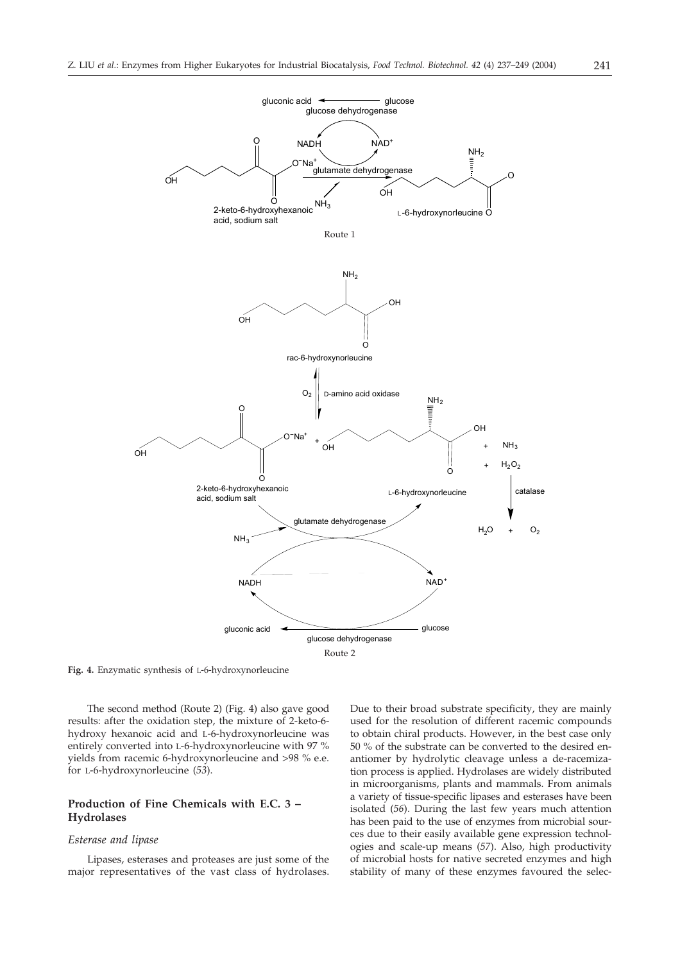

Route 2

**Fig. 4.** Enzymatic synthesis of L-6-hydroxynorleucine

The second method (Route 2) (Fig. 4) also gave good results: after the oxidation step, the mixture of 2-keto-6 hydroxy hexanoic acid and L-6-hydroxynorleucine was entirely converted into L-6-hydroxynorleucine with 97 % yields from racemic 6-hydroxynorleucine and >98 % e.e. for L-6-hydroxynorleucine (*53*).

# **Production of Fine Chemicals with E.C. 3 – Hydrolases**

# *Esterase and lipase*

Lipases, esterases and proteases are just some of the major representatives of the vast class of hydrolases. Due to their broad substrate specificity, they are mainly used for the resolution of different racemic compounds to obtain chiral products. However, in the best case only 50 % of the substrate can be converted to the desired enantiomer by hydrolytic cleavage unless a de-racemization process is applied. Hydrolases are widely distributed in microorganisms, plants and mammals. From animals a variety of tissue-specific lipases and esterases have been isolated (*56*). During the last few years much attention has been paid to the use of enzymes from microbial sources due to their easily available gene expression technologies and scale-up means (*57*). Also, high productivity of microbial hosts for native secreted enzymes and high stability of many of these enzymes favoured the selec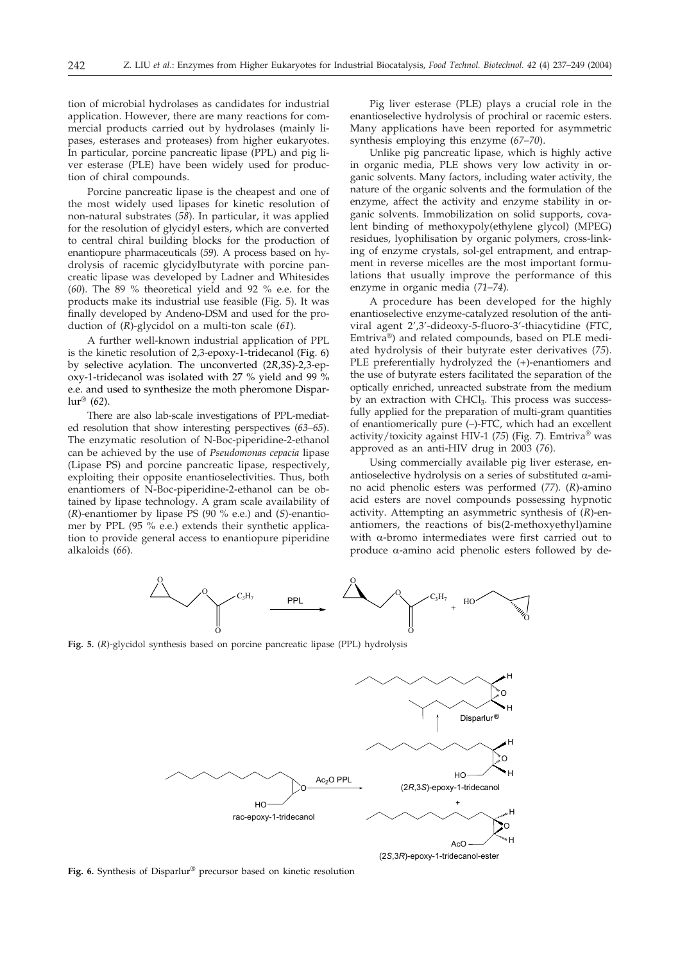tion of microbial hydrolases as candidates for industrial application. However, there are many reactions for commercial products carried out by hydrolases (mainly lipases, esterases and proteases) from higher eukaryotes. In particular, porcine pancreatic lipase (PPL) and pig liver esterase (PLE) have been widely used for production of chiral compounds.

Porcine pancreatic lipase is the cheapest and one of the most widely used lipases for kinetic resolution of non-natural substrates (*58*). In particular, it was applied for the resolution of glycidyl esters, which are converted to central chiral building blocks for the production of enantiopure pharmaceuticals (*59*). A process based on hydrolysis of racemic glycidylbutyrate with porcine pancreatic lipase was developed by Ladner and Whitesides (*60*). The 89 % theoretical yield and 92 % e.e. for the products make its industrial use feasible (Fig. 5). It was finally developed by Andeno-DSM and used for the production of (*R*)-glycidol on a multi-ton scale (*61*).

A further well-known industrial application of PPL is the kinetic resolution of 2,3-epoxy-1-tridecanol (Fig. 6) by selective acylation. The unconverted (2*R*,3*S*)-2,3-epoxy-1-tridecanol was isolated with 27 % yield and 99 % e.e. and used to synthesize the moth pheromone Disparlur® (*62*).

There are also lab-scale investigations of PPL-mediated resolution that show interesting perspectives (*63–65*). The enzymatic resolution of N-Boc-piperidine-2-ethanol can be achieved by the use of *Pseudomonas cepacia* lipase (Lipase PS) and porcine pancreatic lipase, respectively, exploiting their opposite enantioselectivities. Thus, both enantiomers of N-Boc-piperidine-2-ethanol can be obtained by lipase technology. A gram scale availability of (*R*)-enantiomer by lipase PS (90 % e.e.) and (*S*)-enantiomer by PPL (95 % e.e.) extends their synthetic application to provide general access to enantiopure piperidine alkaloids (*66*).

Pig liver esterase (PLE) plays a crucial role in the enantioselective hydrolysis of prochiral or racemic esters. Many applications have been reported for asymmetric synthesis employing this enzyme (*67–70*).

Unlike pig pancreatic lipase, which is highly active in organic media, PLE shows very low activity in organic solvents. Many factors, including water activity, the nature of the organic solvents and the formulation of the enzyme, affect the activity and enzyme stability in organic solvents. Immobilization on solid supports, covalent binding of methoxypoly(ethylene glycol) (MPEG) residues, lyophilisation by organic polymers, cross-linking of enzyme crystals, sol-gel entrapment, and entrapment in reverse micelles are the most important formulations that usually improve the performance of this enzyme in organic media (*71–74*).

A procedure has been developed for the highly enantioselective enzyme-catalyzed resolution of the antiviral agent 2',3'-dideoxy-5-fluoro-3'-thiacytidine (FTC, Emtriva®) and related compounds, based on PLE mediated hydrolysis of their butyrate ester derivatives (*75*). PLE preferentially hydrolyzed the (+)-enantiomers and the use of butyrate esters facilitated the separation of the optically enriched, unreacted substrate from the medium by an extraction with  $CHCl<sub>3</sub>$ . This process was successfully applied for the preparation of multi-gram quantities of enantiomerically pure (–)-FTC, which had an excellent activity/toxicity against HIV-1 (*75*) (Fig. 7). Emtriva® was approved as an anti-HIV drug in 2003 (*76*).

Using commercially available pig liver esterase, enantioselective hydrolysis on a series of substituted  $\alpha$ -amino acid phenolic esters was performed (*77*). (*R*)-amino acid esters are novel compounds possessing hypnotic activity. Attempting an asymmetric synthesis of (*R*)-enantiomers, the reactions of bis(2-methoxyethyl)amine with  $\alpha$ -bromo intermediates were first carried out to produce  $\alpha$ -amino acid phenolic esters followed by de-



**Fig. 5.** (*R*)-glycidol synthesis based on porcine pancreatic lipase (PPL) hydrolysis



**Fig. 6.** Synthesis of Disparlur® precursor based on kinetic resolution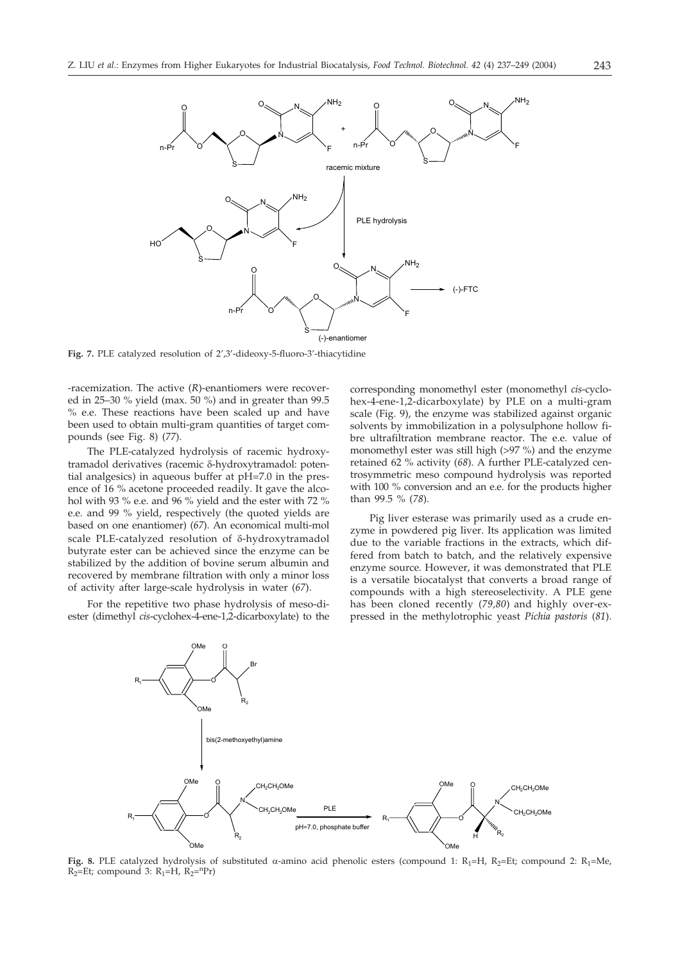

**Fig. 7.** PLE catalyzed resolution of 2',3'-dideoxy-5-fluoro-3'-thiacytidine

-racemization. The active (*R*)-enantiomers were recovered in 25–30 % yield (max. 50 %) and in greater than 99.5 % e.e. These reactions have been scaled up and have been used to obtain multi-gram quantities of target compounds (see Fig. 8) (*77*).

The PLE-catalyzed hydrolysis of racemic hydroxytramadol derivatives (racemic δ-hydroxytramadol: potential analgesics) in aqueous buffer at pH=7.0 in the presence of 16 % acetone proceeded readily. It gave the alcohol with 93 % e.e. and 96 % yield and the ester with 72 % e.e. and 99 % yield, respectively (the quoted yields are based on one enantiomer) (*67*). An economical multi-mol scale PLE-catalyzed resolution of δ-hydroxytramadol butyrate ester can be achieved since the enzyme can be stabilized by the addition of bovine serum albumin and recovered by membrane filtration with only a minor loss of activity after large-scale hydrolysis in water (*67*).

For the repetitive two phase hydrolysis of meso-diester (dimethyl *cis*-cyclohex-4-ene-1,2-dicarboxylate) to the corresponding monomethyl ester (monomethyl *cis*-cyclohex-4-ene-1,2-dicarboxylate) by PLE on a multi-gram scale (Fig. 9), the enzyme was stabilized against organic solvents by immobilization in a polysulphone hollow fibre ultrafiltration membrane reactor. The e.e. value of monomethyl ester was still high (>97 %) and the enzyme retained 62 % activity (*68*). A further PLE-catalyzed centrosymmetric meso compound hydrolysis was reported with 100 % conversion and an e.e. for the products higher than 99.5%(*78*).

Pig liver esterase was primarily used as a crude enzyme in powdered pig liver. Its application was limited due to the variable fractions in the extracts, which differed from batch to batch, and the relatively expensive enzyme source. However, it was demonstrated that PLE is a versatile biocatalyst that converts a broad range of compounds with a high stereoselectivity. A PLE gene has been cloned recently (*79,80*) and highly over-expressed in the methylotrophic yeast *Pichia pastoris* (*81*).



**Fig. 8.** PLE catalyzed hydrolysis of substituted  $\alpha$ -amino acid phenolic esters (compound 1: R<sub>1</sub>=H, R<sub>2</sub>=Et; compound 2: R<sub>1</sub>=Me,  $R_2=Et$ ; compound 3:  $R_1=H$ ,  $R_2=^{n}Pr$ )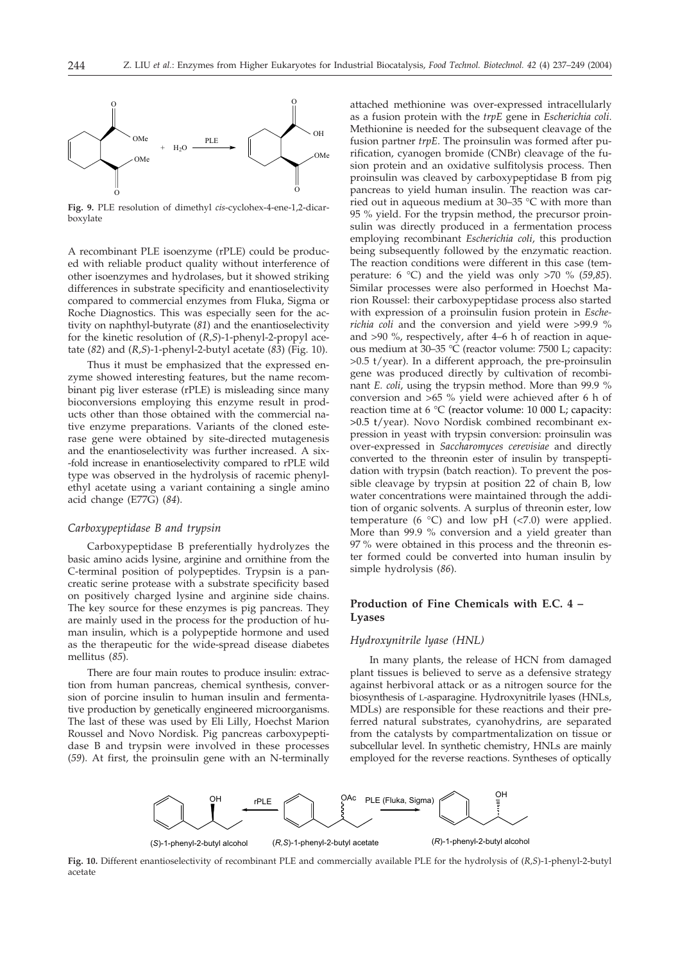

**Fig. 9.** PLE resolution of dimethyl *cis*-cyclohex-4-ene-1,2-dicarboxylate

A recombinant PLE isoenzyme (rPLE) could be produced with reliable product quality without interference of other isoenzymes and hydrolases, but it showed striking differences in substrate specificity and enantioselectivity compared to commercial enzymes from Fluka, Sigma or Roche Diagnostics. This was especially seen for the activity on naphthyl-butyrate (*81*) and the enantioselectivity for the kinetic resolution of (*R,S*)-1-phenyl-2-propyl acetate (*82*) and (*R,S*)-1-phenyl-2-butyl acetate (*83*) (Fig. 10).

Thus it must be emphasized that the expressed enzyme showed interesting features, but the name recombinant pig liver esterase (rPLE) is misleading since many bioconversions employing this enzyme result in products other than those obtained with the commercial native enzyme preparations. Variants of the cloned esterase gene were obtained by site-directed mutagenesis and the enantioselectivity was further increased. A six- -fold increase in enantioselectivity compared to rPLE wild type was observed in the hydrolysis of racemic phenylethyl acetate using a variant containing a single amino acid change (E77G) (*84*).

#### *Carboxypeptidase B and trypsin*

Carboxypeptidase B preferentially hydrolyzes the basic amino acids lysine, arginine and ornithine from the C-terminal position of polypeptides. Trypsin is a pancreatic serine protease with a substrate specificity based on positively charged lysine and arginine side chains. The key source for these enzymes is pig pancreas. They are mainly used in the process for the production of human insulin, which is a polypeptide hormone and used as the therapeutic for the wide-spread disease diabetes mellitus (*85*).

There are four main routes to produce insulin: extraction from human pancreas, chemical synthesis, conversion of porcine insulin to human insulin and fermentative production by genetically engineered microorganisms. The last of these was used by Eli Lilly, Hoechst Marion Roussel and Novo Nordisk. Pig pancreas carboxypeptidase B and trypsin were involved in these processes (*59*). At first, the proinsulin gene with an N-terminally

attached methionine was over-expressed intracellularly as a fusion protein with the *trpE* gene in *Escherichia coli*. Methionine is needed for the subsequent cleavage of the fusion partner *trpE*. The proinsulin was formed after purification, cyanogen bromide (CNBr) cleavage of the fusion protein and an oxidative sulfitolysis process. Then proinsulin was cleaved by carboxypeptidase B from pig pancreas to yield human insulin. The reaction was carried out in aqueous medium at 30–35 °C with more than 95 % yield. For the trypsin method, the precursor proinsulin was directly produced in a fermentation process employing recombinant *Escherichia coli*, this production being subsequently followed by the enzymatic reaction. The reaction conditions were different in this case (temperature: 6 °C) and the yield was only >70 % (*59,85*). Similar processes were also performed in Hoechst Marion Roussel: their carboxypeptidase process also started with expression of a proinsulin fusion protein in *Escherichia coli* and the conversion and yield were >99.9 % and >90 %, respectively, after 4–6 h of reaction in aqueous medium at 30–35 °C (reactor volume: 7500 L; capacity: >0.5 t/year). In a different approach, the pre-proinsulin gene was produced directly by cultivation of recombinant *E. coli*, using the trypsin method. More than 99.9 % conversion and >65 % yield were achieved after 6 h of reaction time at 6 °C (reactor volume: 10 000 L; capacity: >0.5 t/year). Novo Nordisk combined recombinant expression in yeast with trypsin conversion: proinsulin was over-expressed in *Saccharomyces cerevisiae* and directly converted to the threonin ester of insulin by transpeptidation with trypsin (batch reaction). To prevent the possible cleavage by trypsin at position 22 of chain B, low water concentrations were maintained through the addition of organic solvents. A surplus of threonin ester, low temperature (6 °C) and low pH (<7.0) were applied. More than 99.9 % conversion and a yield greater than 97 % were obtained in this process and the threonin ester formed could be converted into human insulin by simple hydrolysis (*86*).

# **Production of Fine Chemicals with E.C. 4 – Lyases**

#### *Hydroxynitrile lyase (HNL)*

In many plants, the release of HCN from damaged plant tissues is believed to serve as a defensive strategy against herbivoral attack or as a nitrogen source for the biosynthesis of L-asparagine. Hydroxynitrile lyases (HNLs, MDLs) are responsible for these reactions and their preferred natural substrates, cyanohydrins, are separated from the catalysts by compartmentalization on tissue or subcellular level. In synthetic chemistry, HNLs are mainly employed for the reverse reactions. Syntheses of optically



**Fig. 10.** Different enantioselectivity of recombinant PLE and commercially available PLE for the hydrolysis of (*R,S*)-1-phenyl-2-butyl acetate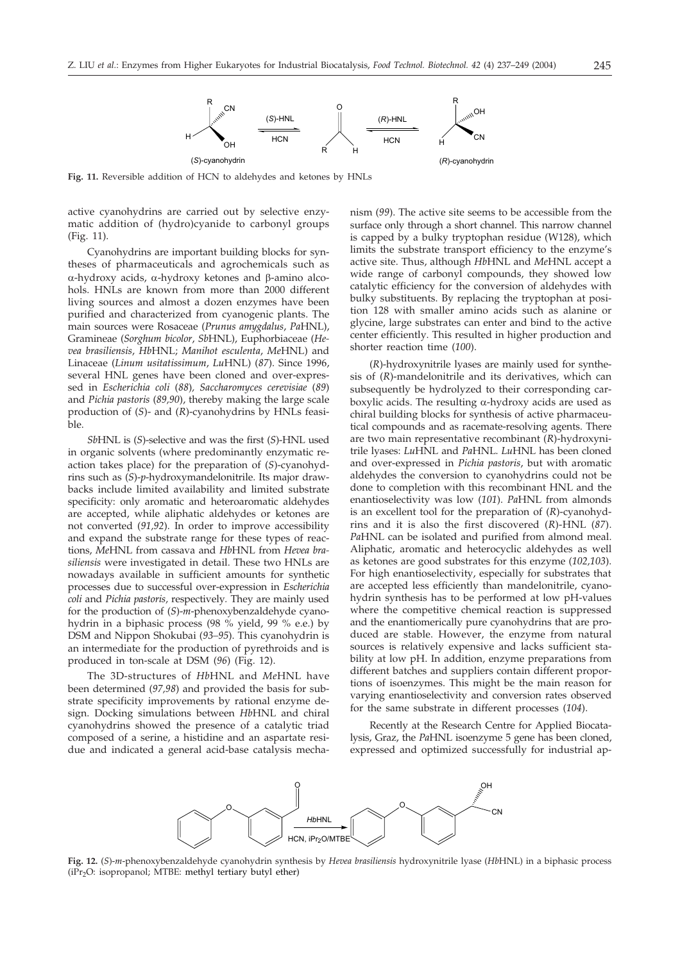

**Fig. 11.** Reversible addition of HCN to aldehydes and ketones by HNLs

active cyanohydrins are carried out by selective enzymatic addition of (hydro)cyanide to carbonyl groups (Fig. 11).

Cyanohydrins are important building blocks for syntheses of pharmaceuticals and agrochemicals such as  $\alpha$ -hydroxy acids,  $\alpha$ -hydroxy ketones and  $\beta$ -amino alcohols. HNLs are known from more than 2000 different living sources and almost a dozen enzymes have been purified and characterized from cyanogenic plants. The main sources were Rosaceae (*Prunus amygdalus*, *Pa*HNL), Gramineae (*Sorghum bicolor*, *Sb*HNL), Euphorbiaceae (*Hevea brasiliensis*, *Hb*HNL; *Manihot esculenta*, *Me*HNL) and Linaceae (*Linum usitatissimum*, *Lu*HNL) (*87*). Since 1996, several HNL genes have been cloned and over-expressed in *Escherichia coli* (*88*)*, Saccharomyces cerevisiae* (*89*) and *Pichia pastoris* (*89,90*), thereby making the large scale production of (*S*)- and (*R*)-cyanohydrins by HNLs feasi $h \geq h$ 

*Sb*HNL is (*S*)-selective and was the first (*S*)-HNL used in organic solvents (where predominantly enzymatic reaction takes place) for the preparation of (*S*)-cyanohydrins such as (*S*)-*p*-hydroxymandelonitrile. Its major drawbacks include limited availability and limited substrate specificity: only aromatic and heteroaromatic aldehydes are accepted, while aliphatic aldehydes or ketones are not converted (*91,92*). In order to improve accessibility and expand the substrate range for these types of reactions, *Me*HNL from cassava and *Hb*HNL from *Hevea brasiliensis* were investigated in detail. These two HNLs are nowadays available in sufficient amounts for synthetic processes due to successful over-expression in *Escherichia coli* and *Pichia pastoris,* respectively*.* They are mainly used for the production of (*S*)-*m*-phenoxybenzaldehyde cyanohydrin in a biphasic process (98 % yield, 99 % e.e.) by DSM and Nippon Shokubai (*93–95*). This cyanohydrin is an intermediate for the production of pyrethroids and is produced in ton-scale at DSM (*96*) (Fig. 12).

The 3D-structures of *Hb*HNL and *Me*HNL have been determined (*97,98*) and provided the basis for substrate specificity improvements by rational enzyme design. Docking simulations between *Hb*HNL and chiral cyanohydrins showed the presence of a catalytic triad composed of a serine, a histidine and an aspartate residue and indicated a general acid-base catalysis mechanism (*99*). The active site seems to be accessible from the surface only through a short channel. This narrow channel is capped by a bulky tryptophan residue (W128), which limits the substrate transport efficiency to the enzyme's active site. Thus, although *Hb*HNL and *Me*HNL accept a wide range of carbonyl compounds, they showed low catalytic efficiency for the conversion of aldehydes with bulky substituents. By replacing the tryptophan at position 128 with smaller amino acids such as alanine or glycine, large substrates can enter and bind to the active center efficiently. This resulted in higher production and shorter reaction time (*100*).

(*R*)-hydroxynitrile lyases are mainly used for synthesis of (*R*)-mandelonitrile and its derivatives, which can subsequently be hydrolyzed to their corresponding carboxylic acids. The resulting  $\alpha$ -hydroxy acids are used as chiral building blocks for synthesis of active pharmaceutical compounds and as racemate-resolving agents. There are two main representative recombinant (*R*)-hydroxynitrile lyases: *Lu*HNL and *Pa*HNL. *Lu*HNL has been cloned and over-expressed in *Pichia pastoris*, but with aromatic aldehydes the conversion to cyanohydrins could not be done to completion with this recombinant HNL and the enantioselectivity was low (*101*). *Pa*HNL from almonds is an excellent tool for the preparation of (*R*)-cyanohydrins and it is also the first discovered (*R*)-HNL (*87*). *Pa*HNL can be isolated and purified from almond meal. Aliphatic, aromatic and heterocyclic aldehydes as well as ketones are good substrates for this enzyme (*102,103*). For high enantioselectivity, especially for substrates that are accepted less efficiently than mandelonitrile, cyanohydrin synthesis has to be performed at low pH-values where the competitive chemical reaction is suppressed and the enantiomerically pure cyanohydrins that are produced are stable. However, the enzyme from natural sources is relatively expensive and lacks sufficient stability at low pH. In addition, enzyme preparations from different batches and suppliers contain different proportions of isoenzymes. This might be the main reason for varying enantioselectivity and conversion rates observed for the same substrate in different processes (*104*).

Recently at the Research Centre for Applied Biocatalysis, Graz, the *Pa*HNL isoenzyme 5 gene has been cloned, expressed and optimized successfully for industrial ap-



**Fig. 12.** (*S*)-*m*-phenoxybenzaldehyde cyanohydrin synthesis by *Hevea brasiliensis* hydroxynitrile lyase (*Hb*HNL) in a biphasic process  $(iPr_2O:$  isopropanol; MTBE: methyl tertiary butyl ether)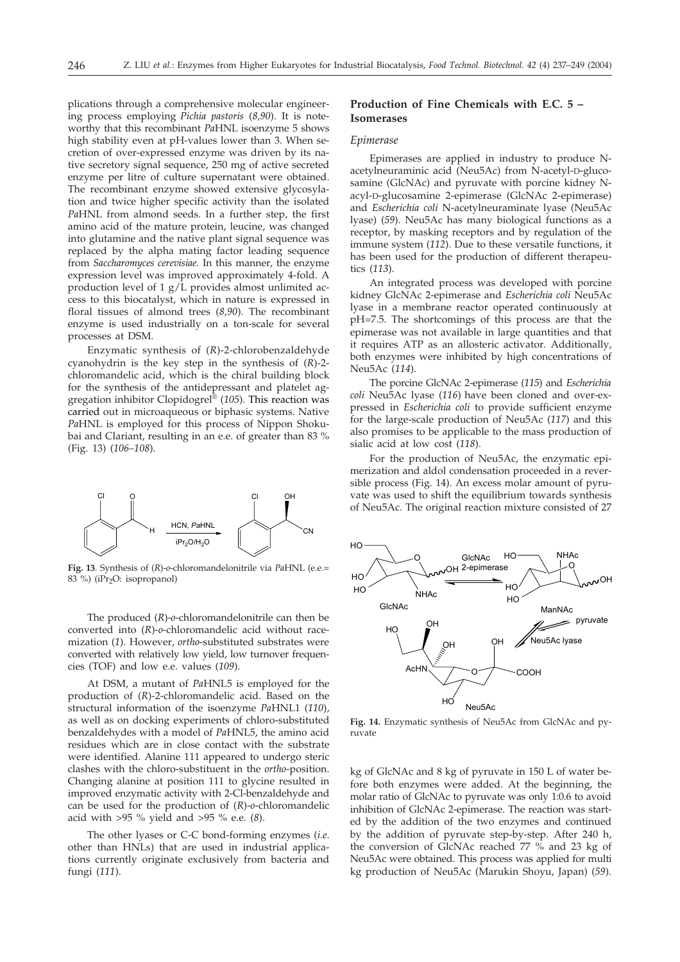plications through a comprehensive molecular engineering process employing *Pichia pastoris* (*8,90*). It is noteworthy that this recombinant *Pa*HNL isoenzyme 5 shows high stability even at pH-values lower than 3. When secretion of over-expressed enzyme was driven by its native secretory signal sequence, 250 mg of active secreted enzyme per litre of culture supernatant were obtained. The recombinant enzyme showed extensive glycosylation and twice higher specific activity than the isolated *Pa*HNL from almond seeds. In a further step, the first amino acid of the mature protein, leucine, was changed into glutamine and the native plant signal sequence was replaced by the alpha mating factor leading sequence from *Saccharomyces cerevisiae.* In this manner, the enzyme expression level was improved approximately 4-fold. A production level of 1 g/L provides almost unlimited access to this biocatalyst, which in nature is expressed in floral tissues of almond trees (*8,90*). The recombinant enzyme is used industrially on a ton-scale for several processes at DSM.

Enzymatic synthesis of (*R*)-2-chlorobenzaldehyde cyanohydrin is the key step in the synthesis of (*R*)-2 chloromandelic acid, which is the chiral building block for the synthesis of the antidepressant and platelet aggregation inhibitor Clopidogrel® (*105*). This reaction was carried out in microaqueous or biphasic systems. Native *Pa*HNL is employed for this process of Nippon Shokubai and Clariant, resulting in an e.e. of greater than 83 % (Fig. 13) (*106–108*).



**Fig. 13***.* Synthesis of (*R*)-*o*-chloromandelonitrile via *Pa*HNL (e.e.=  $83\%$ ) (iPr<sub>2</sub>O: isopropanol) HO

The produced (*R*)-*o*-chloromandelonitrile can then be converted into (*R*)-*o*-chloromandelic acid without racemization (*1*). However, *ortho*-substituted substrates were converted with relatively low yield, low turnover frequencies (TOF) and low e.e. values (*109*).

At DSM, a mutant of *Pa*HNL5 is employed for the production of (*R*)-2-chloromandelic acid. Based on the structural information of the isoenzyme *Pa*HNL1 (*110*), as well as on docking experiments of chloro-substituted benzaldehydes with a model of *Pa*HNL5, the amino acid residues which are in close contact with the substrate were identified. Alanine 111 appeared to undergo steric clashes with the chloro-substituent in the *ortho*-position. Changing alanine at position 111 to glycine resulted in improved enzymatic activity with 2-Cl-benzaldehyde and can be used for the production of (*R*)-*o*-chloromandelic acid with >95 % yield and >95 % e.e. (*8*).

The other lyases or C-C bond-forming enzymes (*i.e*. other than HNLs) that are used in industrial applications currently originate exclusively from bacteria and fungi (*111*).

# **Production of Fine Chemicals with E.C. 5 – Isomerases**

### *Epimerase*

Epimerases are applied in industry to produce Nacetylneuraminic acid (Neu5Ac) from N-acetyl-D-glucosamine (GlcNAc) and pyruvate with porcine kidney Nacyl-D-glucosamine 2-epimerase (GlcNAc 2-epimerase) and *Escherichia coli* N-acetylneuraminate lyase (Neu5Ac lyase) (*59*). Neu5Ac has many biological functions as a receptor, by masking receptors and by regulation of the immune system (*112*). Due to these versatile functions, it has been used for the production of different therapeutics (*113*).

An integrated process was developed with porcine kidney GlcNAc 2-epimerase and *Escherichia coli* Neu5Ac lyase in a membrane reactor operated continuously at pH=7.5. The shortcomings of this process are that the epimerase was not available in large quantities and that it requires ATP as an allosteric activator. Additionally, both enzymes were inhibited by high concentrations of Neu5Ac (*114*).

The porcine GlcNAc 2-epimerase (*115*) and *Escherichia coli* Neu5Ac lyase (*116*) have been cloned and over-expressed in *Escherichia coli* to provide sufficient enzyme for the large-scale production of Neu5Ac (*117*) and this also promises to be applicable to the mass production of sialic acid at low cost (*118*).

For the production of Neu5Ac, the enzymatic epimerization and aldol condensation proceeded in a reversible process (Fig. 14). An excess molar amount of pyruvate was used to shift the equilibrium towards synthesis of Neu5Ac. The original reaction mixture consisted of 27



**Fig. 14.** Enzymatic synthesis of Neu5Ac from GlcNAc and pyruvate

kg of GlcNAc and 8 kg of pyruvate in 150 L of water before both enzymes were added. At the beginning, the molar ratio of GlcNAc to pyruvate was only 1:0.6 to avoid inhibition of GlcNAc 2-epimerase. The reaction was started by the addition of the two enzymes and continued by the addition of pyruvate step-by-step. After 240 h, the conversion of GlcNAc reached 77 % and 23 kg of Neu5Ac were obtained. This process was applied for multi kg production of Neu5Ac (Marukin Shoyu, Japan) (*59*).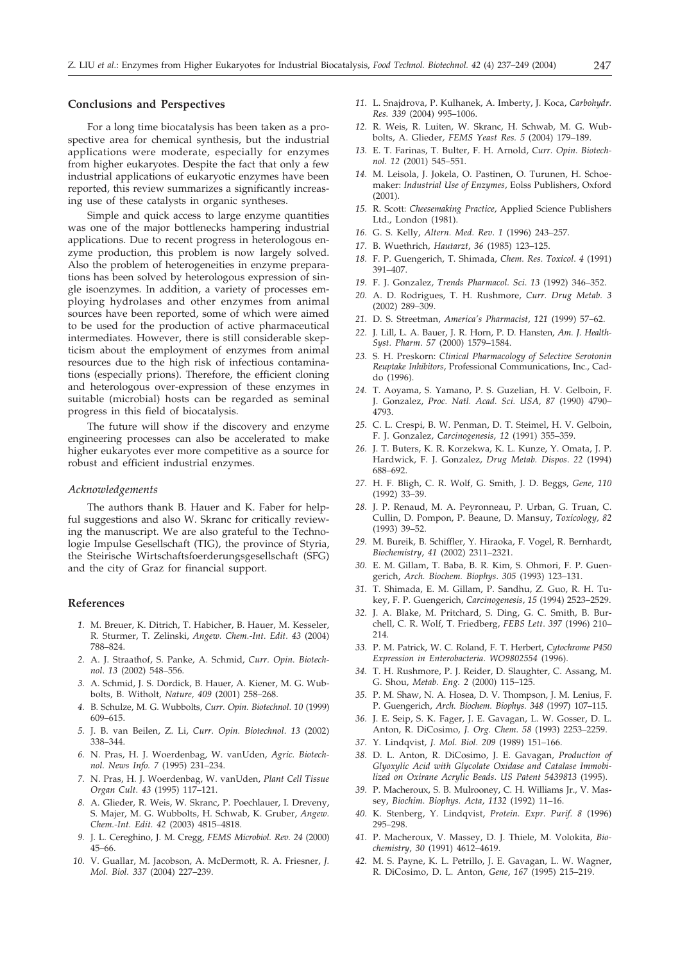# **Conclusions and Perspectives**

For a long time biocatalysis has been taken as a prospective area for chemical synthesis, but the industrial applications were moderate, especially for enzymes from higher eukaryotes. Despite the fact that only a few industrial applications of eukaryotic enzymes have been reported, this review summarizes a significantly increasing use of these catalysts in organic syntheses.

Simple and quick access to large enzyme quantities was one of the major bottlenecks hampering industrial applications. Due to recent progress in heterologous enzyme production, this problem is now largely solved. Also the problem of heterogeneities in enzyme preparations has been solved by heterologous expression of single isoenzymes. In addition, a variety of processes employing hydrolases and other enzymes from animal sources have been reported, some of which were aimed to be used for the production of active pharmaceutical intermediates. However, there is still considerable skepticism about the employment of enzymes from animal resources due to the high risk of infectious contaminations (especially prions). Therefore, the efficient cloning and heterologous over-expression of these enzymes in suitable (microbial) hosts can be regarded as seminal progress in this field of biocatalysis.

The future will show if the discovery and enzyme engineering processes can also be accelerated to make higher eukaryotes ever more competitive as a source for robust and efficient industrial enzymes.

#### *Acknowledgements*

The authors thank B. Hauer and K. Faber for helpful suggestions and also W. Skranc for critically reviewing the manuscript. We are also grateful to the Technologie Impulse Gesellschaft (TIG), the province of Styria, the Steirische Wirtschaftsfoerderungsgesellschaft (SFG) and the city of Graz for financial support.

#### **References**

- *1.* M. Breuer, K. Ditrich, T. Habicher, B. Hauer, M. Kesseler, R. Sturmer, T. Zelinski, *Angew. Chem.-Int. Edit. 43* (2004) 788–824.
- *2.* A. J. Straathof, S. Panke, A. Schmid, *Curr. Opin. Biotechnol*. *13* (2002) 548–556.
- *3.* A. Schmid, J. S. Dordick, B. Hauer, A. Kiener, M. G. Wubbolts, B. Witholt, *Nature, 409* (2001) 258–268.
- *4.* B. Schulze, M. G. Wubbolts, *Curr. Opin. Biotechnol*. *10* (1999) 609–615.
- *5.* J. B. van Beilen, Z. Li, *Curr. Opin. Biotechnol*. *13* (2002) 338–344.
- *6.* N. Pras, H. J. Woerdenbag, W. vanUden, *Agric. Biotechnol. News Info. 7* (1995) 231–234.
- *7.* N. Pras, H. J. Woerdenbag, W. vanUden, *Plant Cell Tissue Organ Cult*. *43* (1995) 117–121.
- *8.* A. Glieder, R. Weis, W. Skranc, P. Poechlauer, I. Dreveny, S. Majer, M. G. Wubbolts, H. Schwab, K. Gruber, *Angew. Chem.-Int. Edit. 42* (2003) 4815–4818.
- *9.* J. L. Cereghino, J. M. Cregg, *FEMS Microbiol. Rev. 24* (2000) 45–66.
- *10.* V. Guallar, M. Jacobson, A. McDermott, R. A. Friesner, *J. Mol. Biol. 337* (2004) 227–239.
- *11.* L. Snajdrova, P. Kulhanek, A. Imberty, J. Koca, *Carbohydr. Res. 339* (2004) 995–1006.
- *12.* R. Weis, R. Luiten, W. Skranc, H. Schwab, M. G. Wubbolts, A. Glieder, *FEMS Yeast Res. 5* (2004) 179–189.
- *13.* E. T. Farinas, T. Bulter, F. H. Arnold, *Curr. Opin. Biotechnol*. *12* (2001) 545–551.
- *14.* M. Leisola, J. Jokela, O. Pastinen, O. Turunen, H. Schoemaker: *Industrial Use of Enzymes*, Eolss Publishers, Oxford (2001).
- *15.* R. Scott: *Cheesemaking Practice*, Applied Science Publishers Ltd., London (1981).
- *16.* G. S. Kelly, *Altern. Med. Rev*. *1* (1996) 243–257.
- *17.* B. Wuethrich, *Hautarzt*, *36* (1985) 123–125.
- *18.* F. P. Guengerich, T. Shimada, *Chem. Res. Toxicol*. *4* (1991) 391–407.
- *19.* F. J. Gonzalez, *Trends Pharmacol. Sci*. *13* (1992) 346–352.
- *20.* A. D. Rodrigues, T. H. Rushmore, *Curr. Drug Metab. 3* (2002) 289–309.
- *21.* D. S. Streetman, *America's Pharmacist*, *121* (1999) 57–62.
- *22.* J. Lill, L. A. Bauer, J. R. Horn, P. D. Hansten, *Am. J. Health-Syst. Pharm*. *57* (2000) 1579–1584.
- *23.* S. H. Preskorn: *Clinical Pharmacology of Selective Serotonin Reuptake Inhibitors*, Professional Communications, Inc., Caddo (1996).
- *24.* T. Aoyama, S. Yamano, P. S. Guzelian, H. V. Gelboin, F. J. Gonzalez, *Proc. Natl. Acad. Sci. USA, 87* (1990) 4790– 4793.
- *25.* C. L. Crespi, B. W. Penman, D. T. Steimel, H. V. Gelboin, F. J. Gonzalez, *Carcinogenesis*, *12* (1991) 355–359.
- *26.* J. T. Buters, K. R. Korzekwa, K. L. Kunze, Y. Omata, J. P. Hardwick, F. J. Gonzalez, *Drug Metab. Dispos*. *22* (1994) 688–692.
- *27.* H. F. Bligh, C. R. Wolf, G. Smith, J. D. Beggs, *Gene, 110* (1992) 33–39.
- *28.* J. P. Renaud, M. A. Peyronneau, P. Urban, G. Truan, C. Cullin, D. Pompon, P. Beaune, D. Mansuy, *Toxicology, 82* (1993) 39–52.
- *29.* M. Bureik, B. Schiffler, Y. Hiraoka, F. Vogel, R. Bernhardt, *Biochemistry*, *41* (2002) 2311–2321.
- *30.* E. M. Gillam, T. Baba, B. R. Kim, S. Ohmori, F. P. Guengerich, *Arch. Biochem. Biophys*. *305* (1993) 123–131.
- *31.* T. Shimada, E. M. Gillam, P. Sandhu, Z. Guo, R. H. Tukey, F. P. Guengerich, *Carcinogenesis*, *15* (1994) 2523–2529.
- *32.* J. A. Blake, M. Pritchard, S. Ding, G. C. Smith, B. Burchell, C. R. Wolf, T. Friedberg, *FEBS Lett*. *397* (1996) 210– 214.
- *33.* P. M. Patrick, W. C. Roland, F. T. Herbert, *Cytochrome P450 Expression in Enterobacteria*. *WO9802554* (1996).
- *34.* T. H. Rushmore, P. J. Reider, D. Slaughter, C. Assang, M. G. Shou, *Metab. Eng. 2* (2000) 115–125.
- *35.* P. M. Shaw, N. A. Hosea, D. V. Thompson, J. M. Lenius, F. P. Guengerich, *Arch. Biochem. Biophys*. *348* (1997) 107–115.
- *36.* J. E. Seip, S. K. Fager, J. E. Gavagan, L. W. Gosser, D. L. Anton, R. DiCosimo, *J. Org. Chem*. *58* (1993) 2253–2259.
- *37.* Y. Lindqvist, *J. Mol. Biol*. *209* (1989) 151–166.
- *38.* D. L. Anton, R. DiCosimo, J. E. Gavagan, *Production of Glyoxylic Acid with Glycolate Oxidase and Catalase Immobilized on Oxirane Acrylic Beads*. *US Patent 5439813* (1995).
- *39.* P. Macheroux, S. B. Mulrooney, C. H. Williams Jr., V. Massey, *Biochim. Biophys. Acta*, *1132* (1992) 11–16.
- *40.* K. Stenberg, Y. Lindqvist, *Protein. Expr. Purif. 8* (1996) 295–298.
- *41.* P. Macheroux, V. Massey, D. J. Thiele, M. Volokita, *Biochemistry*, *30* (1991) 4612–4619.
- *42.* M. S. Payne, K. L. Petrillo, J. E. Gavagan, L. W. Wagner, R. DiCosimo, D. L. Anton, *Gene*, *167* (1995) 215–219.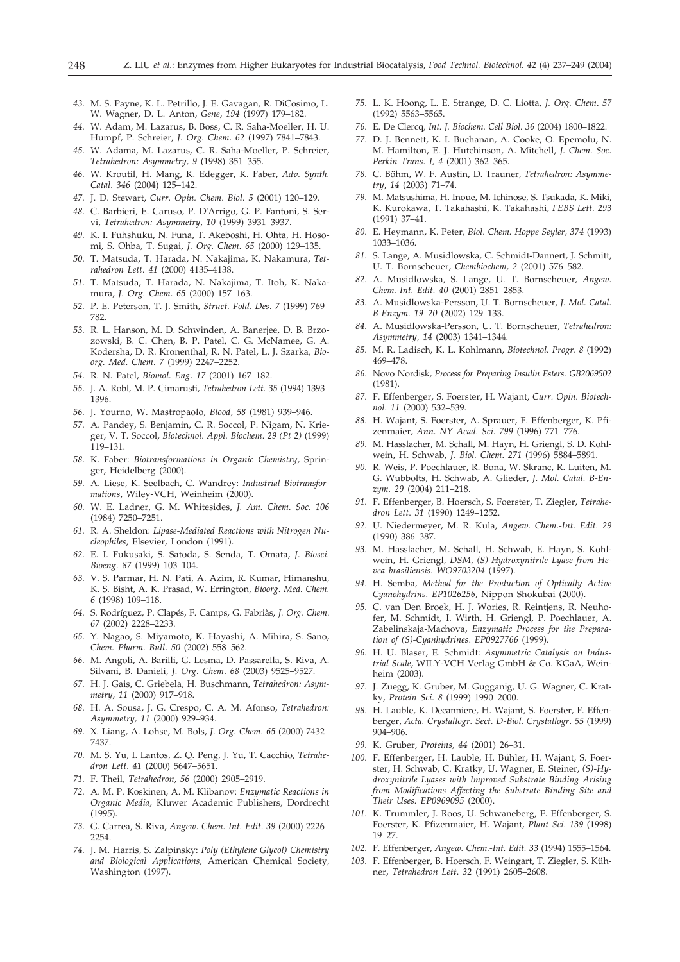- *43.* M. S. Payne, K. L. Petrillo, J. E. Gavagan, R. DiCosimo, L. W. Wagner, D. L. Anton, *Gene*, *194* (1997) 179–182.
- *44.* W. Adam, M. Lazarus, B. Boss, C. R. Saha-Moeller, H. U. Humpf, P. Schreier, *J. Org. Chem*. *62* (1997) 7841–7843.
- *45.* W. Adama, M. Lazarus, C. R. Saha-Moeller, P. Schreier, *Tetrahedron: Asymmetry, 9* (1998) 351–355.
- *46.* W. Kroutil, H. Mang, K. Edegger, K. Faber, *Adv. Synth. Catal*. *346* (2004) 125–142.
- *47.* J. D. Stewart, *Curr. Opin. Chem. Biol*. *5* (2001) 120–129.
- *48.* C. Barbieri, E. Caruso, P. D'Arrigo, G. P. Fantoni, S. Servi, *Tetrahedron: Asymmetry*, *10* (1999) 3931–3937.
- *49.* K. I. Fuhshuku, N. Funa, T. Akeboshi, H. Ohta, H. Hosomi, S. Ohba, T. Sugai, *J. Org. Chem*. *65* (2000) 129–135.
- *50.* T. Matsuda, T. Harada, N. Nakajima, K. Nakamura, *Tetrahedron Lett*. *41* (2000) 4135–4138.
- *51.* T. Matsuda, T. Harada, N. Nakajima, T. Itoh, K. Nakamura, *J. Org. Chem*. *65* (2000) 157–163.
- *52.* P. E. Peterson, T. J. Smith, *Struct. Fold. Des*. *7* (1999) 769– 782.
- *53.* R. L. Hanson, M. D. Schwinden, A. Banerjee, D. B. Brzozowski, B. C. Chen, B. P. Patel, C. G. McNamee, G. A. Kodersha, D. R. Kronenthal, R. N. Patel, L. J. Szarka, *Bioorg. Med. Chem*. *7* (1999) 2247–2252.
- *54.* R. N. Patel, *Biomol. Eng*. *17* (2001) 167–182.
- *55.* J. A. Robl, M. P. Cimarusti, *Tetrahedron Lett*. *35* (1994) 1393– 1396.
- *56.* J. Yourno, W. Mastropaolo, *Blood*, *58* (1981) 939–946.
- *57.* A. Pandey, S. Benjamin, C. R. Soccol, P. Nigam, N. Krieger, V. T. Soccol, *Biotechnol. Appl. Biochem*. *29 (Pt 2)* (1999) 119–131.
- *58.* K. Faber: *Biotransformations in Organic Chemistry*, Springer, Heidelberg (2000).
- *59.* A. Liese, K. Seelbach, C. Wandrey: *Industrial Biotransfor*mations, Wiley-VCH, Weinheim (2000).
- *60.* W. E. Ladner, G. M. Whitesides, *J. Am. Chem. Soc*. *106* (1984) 7250–7251.
- *61.* R. A. Sheldon: *Lipase-Mediated Reactions with Nitrogen Nucleophiles*, Elsevier, London (1991).
- *62.* E. I. Fukusaki, S. Satoda, S. Senda, T. Omata, *J. Biosci. Bioeng*. *87* (1999) 103–104.
- *63.* V. S. Parmar, H. N. Pati, A. Azim, R. Kumar, Himanshu, K. S. Bisht, A. K. Prasad, W. Errington, *Bioorg. Med. Chem. 6* (1998) 109–118.
- *64.* S. Rodríguez, P. Clapés, F. Camps, G. Fabriàs, *J. Org. Chem*. *67* (2002) 2228–2233.
- *65.* Y. Nagao, S. Miyamoto, K. Hayashi, A. Mihira, S. Sano, *Chem. Pharm. Bull*. *50* (2002) 558–562.
- *66.* M. Angoli, A. Barilli, G. Lesma, D. Passarella, S. Riva, A. Silvani, B. Danieli, *J. Org. Chem*. *68* (2003) 9525–9527.
- *67.* H. J. Gais, C. Griebela, H. Buschmann, *Tetrahedron: Asymmetry*, *11* (2000) 917–918.
- *68.* H. A. Sousa, J. G. Crespo, C. A. M. Afonso, *Tetrahedron: Asymmetry, 11* (2000) 929–934.
- *69.* X. Liang, A. Lohse, M. Bols, *J. Org. Chem*. *65* (2000) 7432– 7437.
- *70.* M. S. Yu, I. Lantos, Z. Q. Peng, J. Yu, T. Cacchio, *Tetrahedron Lett*. *41* (2000) 5647–5651.
- *71.* F. Theil, *Tetrahedron*, *56* (2000) 2905–2919.
- *72.* A. M. P. Koskinen, A. M. Klibanov: *Enzymatic Reactions in Organic Media*, Kluwer Academic Publishers, Dordrecht (1995).
- *73.* G. Carrea, S. Riva, *Angew. Chem.-Int. Edit. 39* (2000) 2226– 2254.
- *74.* J. M. Harris, S. Zalpinsky: *Poly (Ethylene Glycol) Chemistry and Biological Applications*, American Chemical Society, Washington (1997).
- *75.* L. K. Hoong, L. E. Strange, D. C. Liotta, *J. Org. Chem*. *57* (1992) 5563–5565.
- *76.* E. De Clercq, *Int. J. Biochem. Cell Biol*. *36* (2004) 1800–1822.
- *77.* D. J. Bennett, K. I. Buchanan, A. Cooke, O. Epemolu, N. M. Hamilton, E. J. Hutchinson, A. Mitchell, *J. Chem. Soc. Perkin Trans. I, 4* (2001) 362–365.
- *78.* C. Böhm, W. F. Austin, D. Trauner, *Tetrahedron: Asymmetry*, *14* (2003) 71–74.
- *79.* M. Matsushima, H. Inoue, M. Ichinose, S. Tsukada, K. Miki, K. Kurokawa, T. Takahashi, K. Takahashi, *FEBS Lett*. *293* (1991) 37–41.
- *80.* E. Heymann, K. Peter, *Biol. Chem. Hoppe Seyler, 374* (1993) 1033–1036.
- *81.* S. Lange, A. Musidlowska, C. Schmidt-Dannert, J. Schmitt, U. T. Bornscheuer, *Chembiochem, 2* (2001) 576–582.
- *82.* A. Musidlowska, S. Lange, U. T. Bornscheuer, *Angew. Chem.-Int. Edit. 40* (2001) 2851–2853.
- *83.* A. Musidlowska-Persson, U. T. Bornscheuer, *J. Mol. Catal. B-Enzym. 19–20* (2002) 129–133.
- *84.* A. Musidlowska-Persson, U. T. Bornscheuer, *Tetrahedron: Asymmetry*, *14* (2003) 1341–1344.
- *85.* M. R. Ladisch, K. L. Kohlmann, *Biotechnol. Progr*. *8* (1992) 469–478.
- *86.* Novo Nordisk, *Process for Preparing Insulin Esters*. *GB2069502* (1981).
- *87.* F. Effenberger, S. Foerster, H. Wajant, *Curr. Opin. Biotechnol*. *11* (2000) 532–539.
- *88.* H. Wajant, S. Foerster, A. Sprauer, F. Effenberger, K. Pfizenmaier, *Ann. NY Acad. Sci*. *799* (1996) 771–776.
- *89.* M. Hasslacher, M. Schall, M. Hayn, H. Griengl, S. D. Kohlwein, H. Schwab, *J. Biol. Chem*. *271* (1996) 5884–5891.
- *90.* R. Weis, P. Poechlauer, R. Bona, W. Skranc, R. Luiten, M. G. Wubbolts, H. Schwab, A. Glieder, *J. Mol. Catal. B-Enzym. 29* (2004) 211–218.
- *91.* F. Effenberger, B. Hoersch, S. Foerster, T. Ziegler, *Tetrahedron Lett*. *31* (1990) 1249–1252.
- *92.* U. Niedermeyer, M. R. Kula, *Angew. Chem.-Int. Edit. 29* (1990) 386–387.
- *93.* M. Hasslacher, M. Schall, H. Schwab, E. Hayn, S. Kohlwein, H. Griengl, *DSM*, *(S)-Hydroxynitrile Lyase from Hevea brasiliensis*. *WO9703204* (1997).
- *94.* H. Semba, *Method for the Production of Optically Active Cyanohydrins*. *EP1026256,* Nippon Shokubai (2000).
- *95.* C. van Den Broek, H. J. Wories, R. Reintjens, R. Neuhofer, M. Schmidt, I. Wirth, H. Griengl, P. Poechlauer, A. Zabelinskaja-Machova, *Enzymatic Process for the Preparation of (S)-Cyanhydrines*. *EP0927766* (1999).
- *96.* H. U. Blaser, E. Schmidt: *Asymmetric Catalysis on Industrial Scale*, WILY-VCH Verlag GmbH & Co. KGaA, Weinheim (2003).
- *97.* J. Zuegg, K. Gruber, M. Gugganig, U. G. Wagner, C. Kratky, *Protein Sci*. *8* (1999) 1990–2000.
- *98.* H. Lauble, K. Decanniere, H. Wajant, S. Foerster, F. Effenberger, *Acta. Crystallogr. Sect. D-Biol. Crystallogr*. *55* (1999) 904–906.
- *99.* K. Gruber, *Proteins*, *44* (2001) 26–31.
- *100.* F. Effenberger, H. Lauble, H. Bühler, H. Wajant, S. Foerster, H. Schwab, C. Kratky, U. Wagner, E. Steiner, *(S)-Hydroxynitrile Lyases with Improved Substrate Binding Arising from Modifications Affecting the Substrate Binding Site and Their Uses. EP0969095* (2000).
- *101.* K. Trummler, J. Roos, U. Schwaneberg, F. Effenberger, S. Foerster, K. Pfizenmaier, H. Wajant, *Plant Sci. 139* (1998) 19–27.
- *102.* F. Effenberger, *Angew. Chem.-Int. Edit. 33* (1994) 1555–1564.
- *103.* F. Effenberger, B. Hoersch, F. Weingart, T. Ziegler, S. Kühner, *Tetrahedron Lett*. *32* (1991) 2605–2608.